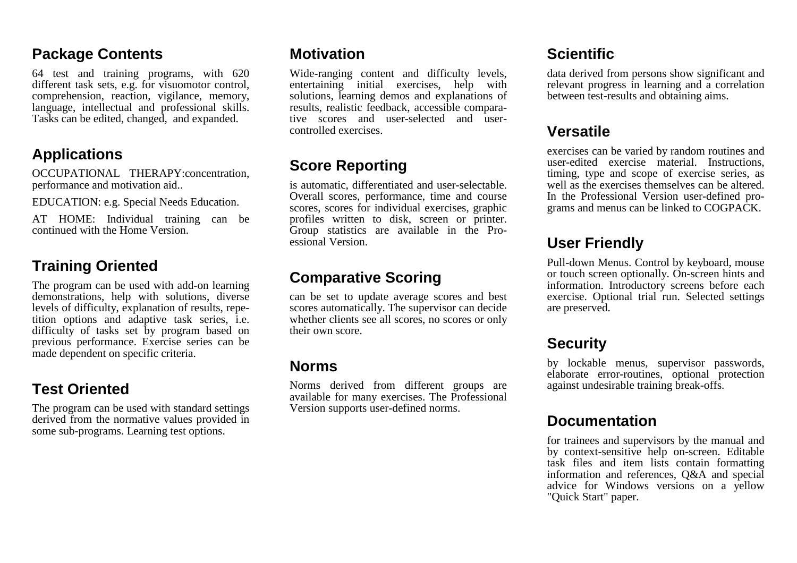#### **Package Contents**

64 test and training programs, with 620 different task sets, e.g. for visuomotor control, comprehension, reaction, vigilance, memory, language, intellectual and professional skills. Tasks can be edited, changed, and expanded.

## **Applications**

OCCUPATIONAL THERAPY:concentration, performance and motivation aid..

EDUCATION: e.g. Special Needs Education.

AT HOME: Individual training can be continued with the Home Version.

## **Training Oriented**

The program can be used with add-on learning demonstrations, help with solutions, diverse levels of difficulty, explanation of results, repetition options and adaptive task series, i.e. difficulty of tasks set by program based on previous performance. Exercise series can be made dependent on specific criteria.

# **Test Oriented**

The program can be used with standard settings derived from the normative values provided in some sub-programs. Learning test options.

#### **Motivation**

Wide-ranging content and difficulty levels, entertaining initial exercises, help with solutions, learning demos and explanations of results, realistic feedback, accessible comparative scores and user-selected and usercontrolled exercises.

# **Score Reporting**

is automatic, differentiated and user-selectable. Overall scores, performance, time and course scores, scores for individual exercises, graphic profiles written to disk, screen or printer. Group statistics are available in the Proessional Version.

## **Comparative Scoring**

can be set to update average scores and best scores automatically. The supervisor can decide whether clients see all scores, no scores or only their own score.

#### **Norms**

Norms derived from different groups are available for many exercises. The Professional Version supports user-defined norms.

# **Scientific**

data derived from persons show significant and relevant progress in learning and a correlation between test-results and obtaining aims.

# **Versatile**

exercises can be varied by random routines and user-edited exercise material. Instructions, timing, type and scope of exercise series, as well as the exercises themselves can be altered. In the Professional Version user-defined programs and menus can be linked to COGPACK.

# **User Friendly**

Pull-down Menus. Control by keyboard, mouse or touch screen optionally. On-screen hints and information. Introductory screens before each exercise. Optional trial run. Selected settings are preserved.

# **Security**

by lockable menus, supervisor passwords, elaborate error-routines, optional protection against undesirable training break-offs.

## **Documentation**

for trainees and supervisors by the manual and by context-sensitive help on-screen. Editable task files and item lists contain formatting information and references, Q&A and special advice for Windows versions on a yellow "Quick Start" paper.